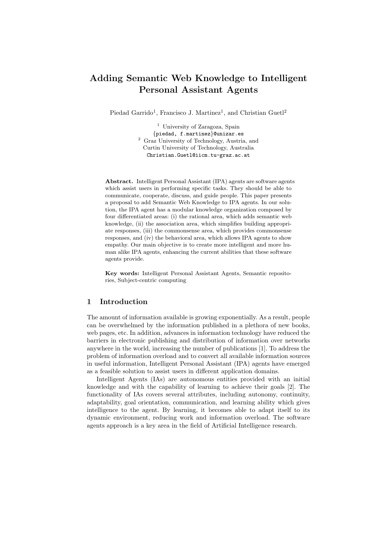# **Adding Semantic Web Knowledge to Intelligent Personal Assistant Agents**

Piedad Garrido<sup>1</sup>, Francisco J. Martinez<sup>1</sup>, and Christian Guetl<sup>2</sup>

<sup>1</sup> University of Zaragoza, Spain *{*piedad, f.martinez*}*@unizar.es <sup>2</sup> Graz University of Technology, Austria, and Curtin University of Technology, Australia Christian.Guetl@iicm.tu-graz.ac.at

**Abstract.** Intelligent Personal Assistant (IPA) agents are software agents which assist users in performing specific tasks. They should be able to communicate, cooperate, discuss, and guide people. This paper presents a proposal to add Semantic Web Knowledge to IPA agents. In our solution, the IPA agent has a modular knowledge organization composed by four differentiated areas: (i) the rational area, which adds semantic web knowledge, (ii) the association area, which simplifies building appropriate responses, (iii) the commonsense area, which provides commonsense responses, and (iv) the behavioral area, which allows IPA agents to show empathy. Our main objective is to create more intelligent and more human alike IPA agents, enhancing the current abilities that these software agents provide.

**Key words:** Intelligent Personal Assistant Agents, Semantic repositories, Subject-centric computing

## **1 Introduction**

The amount of information available is growing exponentially. As a result, people can be overwhelmed by the information published in a plethora of new books, web pages, etc. In addition, advances in information technology have reduced the barriers in electronic publishing and distribution of information over networks anywhere in the world, increasing the number of publications [1]. To address the problem of information overload and to convert all available information sources in useful information, Intelligent Personal Assistant (IPA) agents have emerged as a feasible solution to assist users in different application domains.

Intelligent Agents (IAs) are autonomous entities provided with an initial knowledge and with the capability of learning to achieve their goals [2]. The functionality of IAs covers several attributes, including autonomy, continuity, adaptability, goal orientation, communication, and learning ability which gives intelligence to the agent. By learning, it becomes able to adapt itself to its dynamic environment, reducing work and information overload. The software agents approach is a key area in the field of Artificial Intelligence research.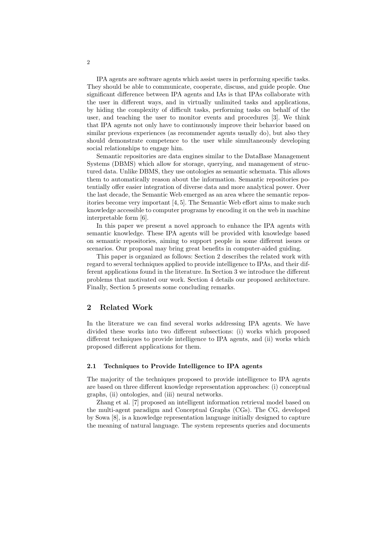IPA agents are software agents which assist users in performing specific tasks. They should be able to communicate, cooperate, discuss, and guide people. One significant difference between IPA agents and IAs is that IPAs collaborate with the user in different ways, and in virtually unlimited tasks and applications, by hiding the complexity of difficult tasks, performing tasks on behalf of the user, and teaching the user to monitor events and procedures [3]. We think that IPA agents not only have to continuously improve their behavior based on similar previous experiences (as recommender agents usually do), but also they should demonstrate competence to the user while simultaneously developing social relationships to engage him.

Semantic repositories are data engines similar to the DataBase Management Systems (DBMS) which allow for storage, querying, and management of structured data. Unlike DBMS, they use ontologies as semantic schemata. This allows them to automatically reason about the information. Semantic repositories potentially offer easier integration of diverse data and more analytical power. Over the last decade, the Semantic Web emerged as an area where the semantic repositories become very important [4, 5]. The Semantic Web effort aims to make such knowledge accessible to computer programs by encoding it on the web in machine interpretable form [6].

In this paper we present a novel approach to enhance the IPA agents with semantic knowledge. These IPA agents will be provided with knowledge based on semantic repositories, aiming to support people in some different issues or scenarios. Our proposal may bring great benefits in computer-aided guiding.

This paper is organized as follows: Section 2 describes the related work with regard to several techniques applied to provide intelligence to IPAs, and their different applications found in the literature. In Section 3 we introduce the different problems that motivated our work. Section 4 details our proposed architecture. Finally, Section 5 presents some concluding remarks.

## **2 Related Work**

In the literature we can find several works addressing IPA agents. We have divided these works into two different subsections: (i) works which proposed different techniques to provide intelligence to IPA agents, and (ii) works which proposed different applications for them.

#### **2.1 Techniques to Provide Intelligence to IPA agents**

The majority of the techniques proposed to provide intelligence to IPA agents are based on three different knowledge representation approaches: (i) conceptual graphs, (ii) ontologies, and (iii) neural networks.

Zhang et al. [7] proposed an intelligent information retrieval model based on the multi-agent paradigm and Conceptual Graphs (CGs). The CG, developed by Sowa [8], is a knowledge representation language initially designed to capture the meaning of natural language. The system represents queries and documents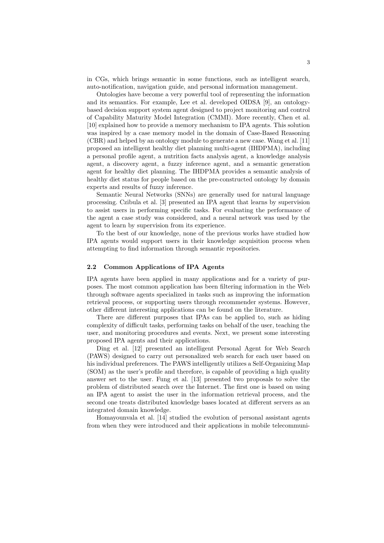in CGs, which brings semantic in some functions, such as intelligent search, auto-notification, navigation guide, and personal information management.

Ontologies have become a very powerful tool of representing the information and its semantics. For example, Lee et al. developed OIDSA [9], an ontologybased decision support system agent designed to project monitoring and control of Capability Maturity Model Integration (CMMI). More recently, Chen et al. [10] explained how to provide a memory mechanism to IPA agents. This solution was inspired by a case memory model in the domain of Case-Based Reasoning (CBR) and helped by an ontology module to generate a new case. Wang et al. [11] proposed an intelligent healthy diet planning multi-agent (IHDPMA), including a personal profile agent, a nutrition facts analysis agent, a knowledge analysis agent, a discovery agent, a fuzzy inference agent, and a semantic generation agent for healthy diet planning. The IHDPMA provides a semantic analysis of healthy diet status for people based on the pre-constructed ontology by domain experts and results of fuzzy inference.

Semantic Neural Networks (SNNs) are generally used for natural language processing. Czibula et al. [3] presented an IPA agent that learns by supervision to assist users in performing specific tasks. For evaluating the performance of the agent a case study was considered, and a neural network was used by the agent to learn by supervision from its experience.

To the best of our knowledge, none of the previous works have studied how IPA agents would support users in their knowledge acquisition process when attempting to find information through semantic repositories.

#### **2.2 Common Applications of IPA Agents**

IPA agents have been applied in many applications and for a variety of purposes. The most common application has been filtering information in the Web through software agents specialized in tasks such as improving the information retrieval process, or supporting users through recommender systems. However, other different interesting applications can be found on the literature.

There are different purposes that IPAs can be applied to, such as hiding complexity of difficult tasks, performing tasks on behalf of the user, teaching the user, and monitoring procedures and events. Next, we present some interesting proposed IPA agents and their applications.

Ding et al. [12] presented an intelligent Personal Agent for Web Search (PAWS) designed to carry out personalized web search for each user based on his individual preferences. The PAWS intelligently utilizes a Self-Organizing Map (SOM) as the user's profile and therefore, is capable of providing a high quality answer set to the user. Fung et al. [13] presented two proposals to solve the problem of distributed search over the Internet. The first one is based on using an IPA agent to assist the user in the information retrieval process, and the second one treats distributed knowledge bases located at different servers as an integrated domain knowledge.

Homayounvala et al. [14] studied the evolution of personal assistant agents from when they were introduced and their applications in mobile telecommuni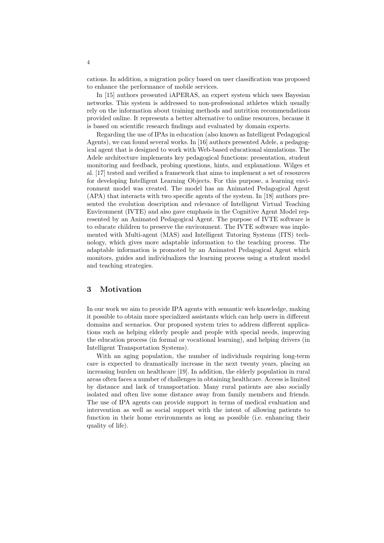cations. In addition, a migration policy based on user classification was proposed to enhance the performance of mobile services.

In [15] authors presented iAPERAS, an expert system which uses Bayesian networks. This system is addressed to non-professional athletes which usually rely on the information about training methods and nutrition recommendations provided online. It represents a better alternative to online resources, because it is based on scientific research findings and evaluated by domain experts.

Regarding the use of IPAs in education (also known as Intelligent Pedagogical Agents), we can found several works. In [16] authors presented Adele, a pedagogical agent that is designed to work with Web-based educational simulations. The Adele architecture implements key pedagogical functions: presentation, student monitoring and feedback, probing questions, hints, and explanations. Wilges et al. [17] tested and verified a framework that aims to implement a set of resources for developing Intelligent Learning Objects. For this purpose, a learning environment model was created. The model has an Animated Pedagogical Agent (APA) that interacts with two specific agents of the system. In [18] authors presented the evolution description and relevance of Intelligent Virtual Teaching Environment (IVTE) and also gave emphasis in the Cognitive Agent Model represented by an Animated Pedagogical Agent. The purpose of IVTE software is to educate children to preserve the environment. The IVTE software was implemented with Multi-agent (MAS) and Intelligent Tutoring Systems (ITS) technology, which gives more adaptable information to the teaching process. The adaptable information is promoted by an Animated Pedagogical Agent which monitors, guides and individualizes the learning process using a student model and teaching strategies.

### **3 Motivation**

In our work we aim to provide IPA agents with semantic web knowledge, making it possible to obtain more specialized assistants which can help users in different domains and scenarios. Our proposed system tries to address different applications such as helping elderly people and people with special needs, improving the education process (in formal or vocational learning), and helping drivers (in Intelligent Transportation Systems).

With an aging population, the number of individuals requiring long-term care is expected to dramatically increase in the next twenty years, placing an increasing burden on healthcare [19]. In addition, the elderly population in rural areas often faces a number of challenges in obtaining healthcare. Access is limited by distance and lack of transportation. Many rural patients are also socially isolated and often live some distance away from family members and friends. The use of IPA agents can provide support in terms of medical evaluation and intervention as well as social support with the intent of allowing patients to function in their home environments as long as possible (i.e. enhancing their quality of life).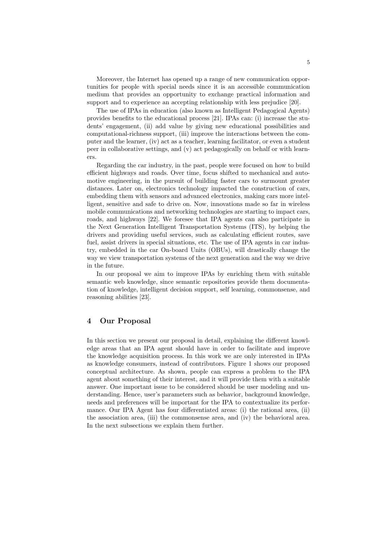Moreover, the Internet has opened up a range of new communication opportunities for people with special needs since it is an accessible communication medium that provides an opportunity to exchange practical information and support and to experience an accepting relationship with less prejudice [20].

The use of IPAs in education (also known as Intelligent Pedagogical Agents) provides benefits to the educational process [21]. IPAs can: (i) increase the students' engagement, (ii) add value by giving new educational possibilities and computational-richness support, (iii) improve the interactions between the computer and the learner, (iv) act as a teacher, learning facilitator, or even a student peer in collaborative settings, and (v) act pedagogically on behalf or with learners.

Regarding the car industry, in the past, people were focused on how to build efficient highways and roads. Over time, focus shifted to mechanical and automotive engineering, in the pursuit of building faster cars to surmount greater distances. Later on, electronics technology impacted the construction of cars, embedding them with sensors and advanced electronics, making cars more intelligent, sensitive and safe to drive on. Now, innovations made so far in wireless mobile communications and networking technologies are starting to impact cars, roads, and highways [22]. We foresee that IPA agents can also participate in the Next Generation Intelligent Transportation Systems (ITS), by helping the drivers and providing useful services, such as calculating efficient routes, save fuel, assist drivers in special situations, etc. The use of IPA agents in car industry, embedded in the car On-board Units (OBUs), will drastically change the way we view transportation systems of the next generation and the way we drive in the future.

In our proposal we aim to improve IPAs by enriching them with suitable semantic web knowledge, since semantic repositories provide them documentation of knowledge, intelligent decision support, self learning, commonsense, and reasoning abilities [23].

## **4 Our Proposal**

In this section we present our proposal in detail, explaining the different knowledge areas that an IPA agent should have in order to facilitate and improve the knowledge acquisition process. In this work we are only interested in IPAs as knowledge consumers, instead of contributors. Figure 1 shows our proposed conceptual architecture. As shown, people can express a problem to the IPA agent about something of their interest, and it will provide them with a suitable answer. One important issue to be considered should be user modeling and understanding. Hence, user's parameters such as behavior, background knowledge, needs and preferences will be important for the IPA to contextualize its performance. Our IPA Agent has four differentiated areas: (i) the rational area, (ii) the association area, (iii) the commonsense area, and (iv) the behavioral area. In the next subsections we explain them further.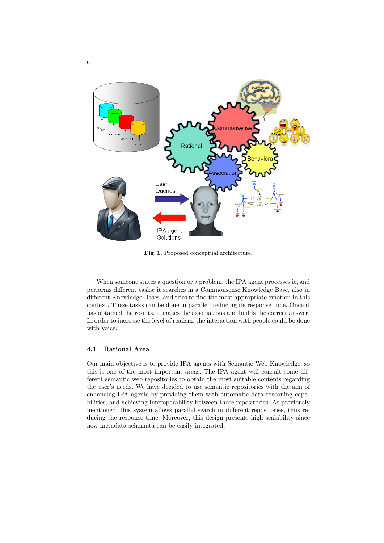

**Fig. 1.** Proposed conceptual architecture.

When someone states a question or a problem, the IPA agent processes it, and performs different tasks: it searches in a Commonsense Knowledge Base, also in different Knowledge Bases, and tries to find the most appropriate emotion in this context. These tasks can be done in parallel, reducing its response time. Once it has obtained the results, it makes the associations and builds the correct answer. In order to increase the level of realism, the interaction with people could be done with voice.

#### **4.1 Rational Area**

Our main objective is to provide IPA agents with Semantic Web Knowledge, so this is one of the most important areas. The IPA agent will consult some different semantic web repositories to obtain the most suitable contents regarding the user's needs. We have decided to use semantic repositories with the aim of enhancing IPA agents by providing them with automatic data reasoning capabilities, and achieving interoperability between those repositories. As previously mentioned, this system allows parallel search in different repositories, thus reducing the response time. Moreover, this design presents high scalability since new metadata schemata can be easily integrated.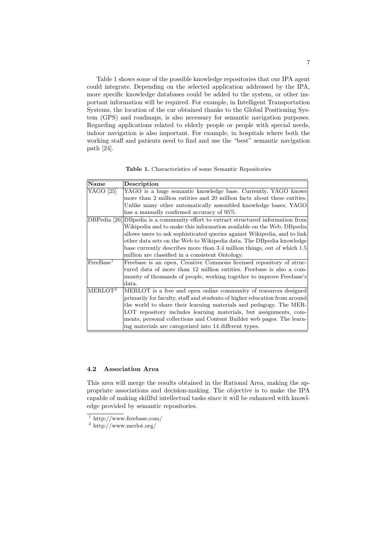Table 1 shows some of the possible knowledge repositories that our IPA agent could integrate. Depending on the selected application addressed by the IPA, more specific knowledge databases could be added to the system, or other important information will be required. For example, in Intelligent Transportation Systems, the location of the car obtained thanks to the Global Positioning System (GPS) and roadmaps, is also necessary for semantic navigation purposes. Regarding applications related to elderly people or people with special needs, indoor navigation is also important. For example, in hospitals where both the working staff and patients need to find and use the "best" semantic navigation path [24].

| <b>Table 1.</b> Characteristics of some Semantic Repositories |
|---------------------------------------------------------------|
|---------------------------------------------------------------|

| <b>Name</b>           | Description                                                                       |  |  |
|-----------------------|-----------------------------------------------------------------------------------|--|--|
| YAGO [25]             | YAGO is a huge semantic knowledge base. Currently, YAGO knows                     |  |  |
|                       | more than 2 million entities and 20 million facts about these entities.           |  |  |
|                       | Unlike many other automatically assembled knowledge bases, YAGO                   |  |  |
|                       | has a manually confirmed accuracy of 95%.                                         |  |  |
|                       | DBPedia [26] DBpedia is a community effort to extract structured information from |  |  |
|                       | Wikipedia and to make this information available on the Web. DB pedia             |  |  |
|                       | allows users to ask sophisticated queries against Wikipedia, and to link          |  |  |
|                       | other data sets on the Web to Wikipedia data. The DB pedia knowledge              |  |  |
|                       | base currently describes more than 3.4 million things, out of which 1.5           |  |  |
|                       | million are classified in a consistent Ontology.                                  |  |  |
| FreeBase <sup>1</sup> | Freebase is an open, Creative Commons licensed repository of struc-               |  |  |
|                       | tured data of more than 12 million entities. Freebase is also a com-              |  |  |
|                       | munity of thousands of people, working together to improve Freebase's             |  |  |
|                       | data.                                                                             |  |  |
| MERLOT <sup>2</sup>   | MERLOT is a free and open online community of resources designed                  |  |  |
|                       | primarily for faculty, staff and students of higher education from around         |  |  |
|                       | the world to share their learning materials and pedagogy. The MER-                |  |  |
|                       | LOT repository includes learning materials, but assignments, com-                 |  |  |
|                       | ments, personal collections and Content Builder web pages. The learn-             |  |  |
|                       | ing materials are categorized into 14 different types.                            |  |  |

#### **4.2 Association Area**

This area will merge the results obtained in the Rational Area, making the appropriate associations and decision-making. The objective is to make the IPA capable of making skillful intellectual tasks since it will be enhanced with knowledge provided by semantic repositories.

 $\frac{1}{1}$ http://www.freebase.com/

 $2 \frac{\text{http://www.merlot.org/}}{}$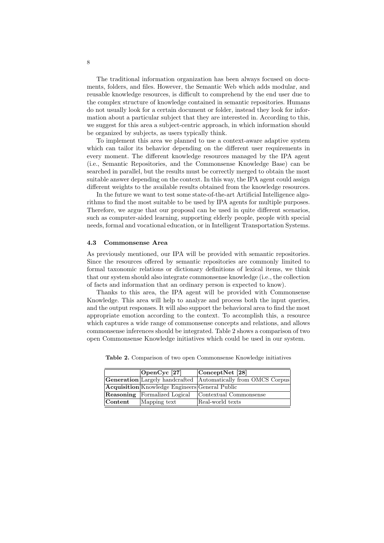The traditional information organization has been always focused on documents, folders, and files. However, the Semantic Web which adds modular, and reusable knowledge resources, is difficult to comprehend by the end user due to the complex structure of knowledge contained in semantic repositories. Humans do not usually look for a certain document or folder, instead they look for information about a particular subject that they are interested in. According to this, we suggest for this area a subject-centric approach, in which information should be organized by subjects, as users typically think.

To implement this area we planned to use a context-aware adaptive system which can tailor its behavior depending on the different user requirements in every moment. The different knowledge resources managed by the IPA agent (i.e., Semantic Repositories, and the Commonsense Knowledge Base) can be searched in parallel, but the results must be correctly merged to obtain the most suitable answer depending on the context. In this way, the IPA agent could assign different weights to the available results obtained from the knowledge resources.

In the future we want to test some state-of-the-art Artificial Intelligence algorithms to find the most suitable to be used by IPA agents for multiple purposes. Therefore, we argue that our proposal can be used in quite different scenarios, such as computer-aided learning, supporting elderly people, people with special needs, formal and vocational education, or in Intelligent Transportation Systems.

#### **4.3 Commonsense Area**

As previously mentioned, our IPA will be provided with semantic repositories. Since the resources offered by semantic repositories are commonly limited to formal taxonomic relations or dictionary definitions of lexical items, we think that our system should also integrate commonsense knowledge (i.e., the collection of facts and information that an ordinary person is expected to know).

Thanks to this area, the IPA agent will be provided with Commonsense Knowledge. This area will help to analyze and process both the input queries, and the output responses. It will also support the behavioral area to find the most appropriate emotion according to the context. To accomplish this, a resource which captures a wide range of commonsense concepts and relations, and allows commonsense inferences should be integrated. Table 2 shows a comparison of two open Commonsense Knowledge initiatives which could be used in our system.

|                    | $\vert$ OpenCyc [27]                                  | $\vert$ Concept $\rm Net$ [28]                                       |
|--------------------|-------------------------------------------------------|----------------------------------------------------------------------|
|                    |                                                       | <b>Generation</b> Largely handcrafted Automatically from OMCS Corpus |
|                    | <b>Acquisition</b> Knowledge Engineers General Public |                                                                      |
|                    | <b>Reasoning</b> Formalized Logical                   | Contextual Commonsense                                               |
| $ {\rm Content} \$ | Mapping text                                          | Real-world texts                                                     |

**Table 2.** Comparison of two open Commonsense Knowledge initiatives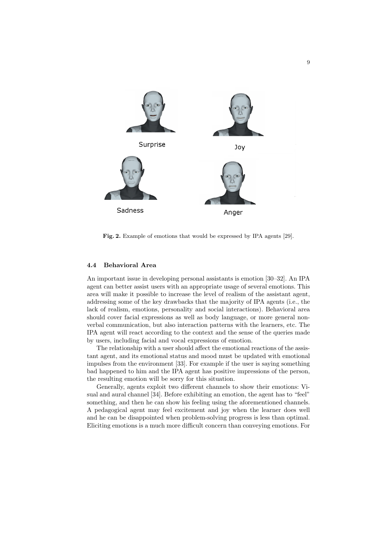

**Fig. 2.** Example of emotions that would be expressed by IPA agents [29].

#### **4.4 Behavioral Area**

An important issue in developing personal assistants is emotion [30–32]. An IPA agent can better assist users with an appropriate usage of several emotions. This area will make it possible to increase the level of realism of the assistant agent, addressing some of the key drawbacks that the majority of IPA agents (i.e., the lack of realism, emotions, personality and social interactions). Behavioral area should cover facial expressions as well as body language, or more general nonverbal communication, but also interaction patterns with the learners, etc. The IPA agent will react according to the context and the sense of the queries made by users, including facial and vocal expressions of emotion.

The relationship with a user should affect the emotional reactions of the assistant agent, and its emotional status and mood must be updated with emotional impulses from the environment [33]. For example if the user is saying something bad happened to him and the IPA agent has positive impressions of the person, the resulting emotion will be sorry for this situation.

Generally, agents exploit two different channels to show their emotions: Visual and aural channel [34]. Before exhibiting an emotion, the agent has to "feel" something, and then he can show his feeling using the aforementioned channels. A pedagogical agent may feel excitement and joy when the learner does well and he can be disappointed when problem-solving progress is less than optimal. Eliciting emotions is a much more difficult concern than conveying emotions. For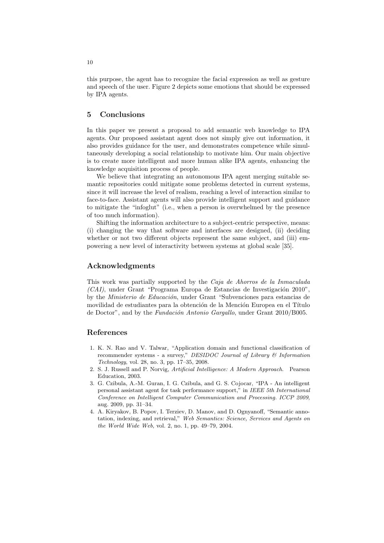this purpose, the agent has to recognize the facial expression as well as gesture and speech of the user. Figure 2 depicts some emotions that should be expressed by IPA agents.

## **5 Conclusions**

In this paper we present a proposal to add semantic web knowledge to IPA agents. Our proposed assistant agent does not simply give out information, it also provides guidance for the user, and demonstrates competence while simultaneously developing a social relationship to motivate him. Our main objective is to create more intelligent and more human alike IPA agents, enhancing the knowledge acquisition process of people.

We believe that integrating an autonomous IPA agent merging suitable semantic repositories could mitigate some problems detected in current systems, since it will increase the level of realism, reaching a level of interaction similar to face-to-face. Assistant agents will also provide intelligent support and guidance to mitigate the "infoglut" (i.e., when a person is overwhelmed by the presence of too much information).

Shifting the information architecture to a subject-centric perspective, means: (i) changing the way that software and interfaces are designed, (ii) deciding whether or not two different objects represent the same subject, and (iii) empowering a new level of interactivity between systems at global scale [35].

## **Acknowledgments**

This work was partially supported by the *Caja de Ahorros de la Inmaculada*  $(CAI)$ , under Grant "Programa Europa de Estancias de Investigación 2010". by the *Ministerio de Educación*, under Grant "Subvenciones para estancias de movilidad de estudiantes para la obtención de la Mención Europea en el Título de Doctor", and by the *Fundación Antonio Gargallo*, under Grant 2010/B005.

#### **References**

- 1. K. N. Rao and V. Talwar, "Application domain and functional classification of recommender systems - a survey," *DESIDOC Journal of Library & Information Technology*, vol. 28, no. 3, pp. 17–35, 2008.
- 2. S. J. Russell and P. Norvig, *Artificial Intelligence: A Modern Approach*. Pearson Education, 2003.
- 3. G. Czibula, A.-M. Guran, I. G. Czibula, and G. S. Cojocar, "IPA An intelligent personal assistant agent for task performance support," in *IEEE 5th International Conference on Intelligent Computer Communication and Processing. ICCP 2009*, aug. 2009, pp. 31–34.
- 4. A. Kiryakov, B. Popov, I. Terziev, D. Manov, and D. Ognyanoff, "Semantic annotation, indexing, and retrieval," *Web Semantics: Science, Services and Agents on the World Wide Web*, vol. 2, no. 1, pp. 49–79, 2004.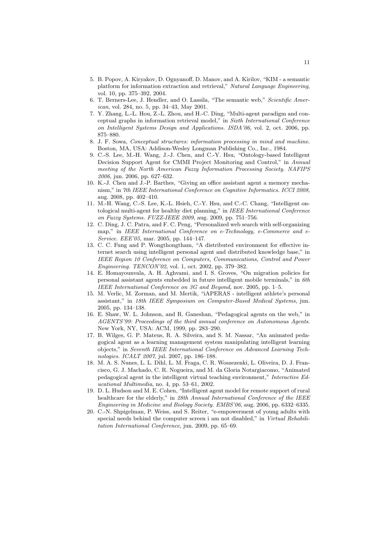- 5. B. Popov, A. Kiryakov, D. Ognyanoff, D. Manov, and A. Kirilov, "KIM a semantic platform for information extraction and retrieval," *Natural Language Engineering*, vol. 10, pp. 375–392, 2004.
- 6. T. Berners-Lee, J. Hendler, and O. Lassila, "The semantic web," *Scientific American*, vol. 284, no. 5, pp. 34–43, May 2001.
- 7. Y. Zhang, L.-L. Hou, Z.-L. Zhou, and H.-C. Ding, "Multi-agent paradigm and conceptual graphs in information retrieval model," in *Sixth International Conference on Intelligent Systems Design and Applications. ISDA'06*, vol. 2, oct. 2006, pp. 875–880.
- 8. J. F. Sowa, *Conceptual structures: information processing in mind and machine*. Boston, MA, USA: Addison-Wesley Longman Publishing Co., Inc., 1984.
- 9. C.-S. Lee, M.-H. Wang, J.-J. Chen, and C.-Y. Hsu, "Ontology-based Intelligent Decision Support Agent for CMMI Project Monitoring and Control," in *Annual meeting of the North American Fuzzy Information Processing Society. NAFIPS 2006*, jun. 2006, pp. 627–632.
- 10. K.-J. Chen and J.-P. Barthes, "Giving an office assistant agent a memory mechanism," in *7th IEEE International Conference on Cognitive Informatics. ICCI 2008*, aug. 2008, pp. 402–410.
- 11. M.-H. Wang, C.-S. Lee, K.-L. Hsieh, C.-Y. Hsu, and C.-C. Chang, "Intelligent ontological multi-agent for healthy diet planning," in *IEEE International Conference on Fuzzy Systems. FUZZ-IEEE 2009*, aug. 2009, pp. 751–756.
- 12. C. Ding, J. C. Patra, and F. C. Peng, "Personalized web search with self-organizing map," in *IEEE International Conference on e-Technology, e-Commerce and e-Service. EEE'05*, mar. 2005, pp. 144–147.
- 13. C. C. Fung and P. Wongthongtham, "A distributed environment for effective internet search using intelligent personal agent and distributed knowledge base," in *IEEE Region 10 Conference on Computers, Communications, Control and Power Engineering. TENCON'02*, vol. 1, oct. 2002, pp. 379–382.
- 14. E. Homayounvala, A. H. Aghvami, and I. S. Groves, "On migration policies for personal assistant agents embedded in future intelligent mobile terminals," in *6th IEEE International Conference on 3G and Beyond*, nov. 2005, pp. 1–5.
- 15. M. Verlic, M. Zorman, and M. Mertik, "iAPERAS intelligent athlete's personal assistant," in *18th IEEE Symposium on Computer-Based Medical Systems*, jun. 2005, pp. 134–138.
- 16. E. Shaw, W. L. Johnson, and R. Ganeshan, "Pedagogical agents on the web," in *AGENTS'99: Proceedings of the third annual conference on Autonomous Agents*. New York, NY, USA: ACM, 1999, pp. 283–290.
- 17. B. Wilges, G. P. Mateus, R. A. Silveira, and S. M. Nassar, "An animated pedagogical agent as a learning management system manipulating intelligent learning objects," in *Seventh IEEE International Conference on Advanced Learning Technologies. ICALT 2007*, jul. 2007, pp. 186–188.
- 18. M. A. S. Nunes, L. L. Dihl, L. M. Fraga, C. R. Woszezenki, L. Oliveira, D. J. Francisco, G. J. Machado, C. R. Nogueira, and M. da Gloria Notargiacomo, "Animated pedagogical agent in the intelligent virtual teaching environment," *Interactive Educational Multimedia*, no. 4, pp. 53–61, 2002.
- 19. D. L. Hudson and M. E. Cohen, "Intelligent agent model for remote support of rural healthcare for the elderly," in *28th Annual International Conference of the IEEE Engineering in Medicine and Biology Society. EMBS'06*, aug. 2006, pp. 6332–6335.
- 20. C.-N. Shpigelman, P. Weiss, and S. Reiter, "e-empowerment of young adults with special needs behind the computer screen i am not disabled," in *Virtual Rehabilitation International Conference*, jun. 2009, pp. 65–69.